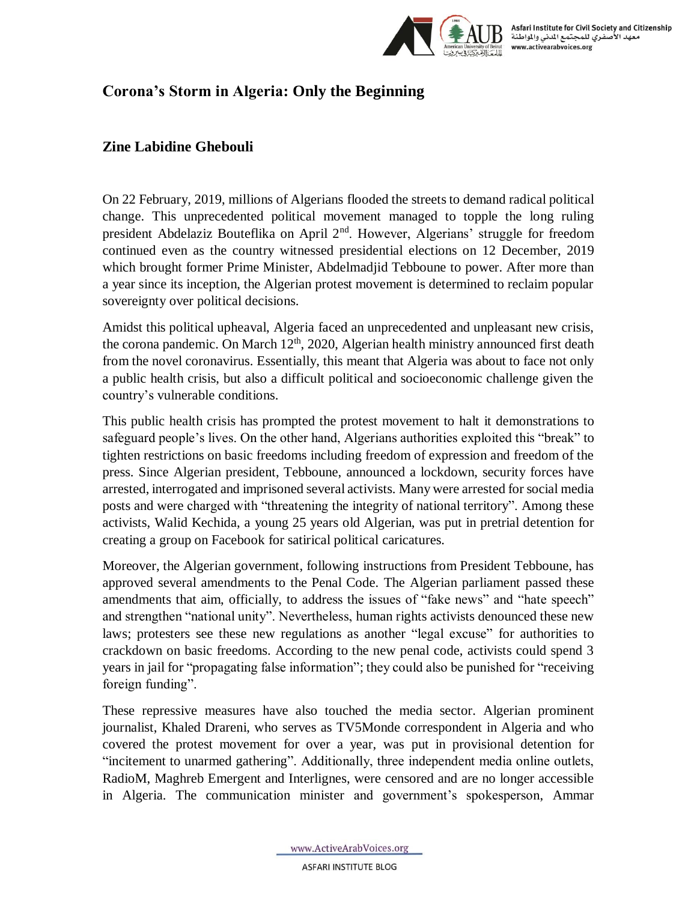

## **Corona's Storm in Algeria: Only the Beginning**

## **Zine Labidine Ghebouli**

On 22 February, 2019, millions of Algerians flooded [the streets](https://www.bloomberg.com/news/articles/2019-02-22/protests-held-across-algeria-against-fifth-term-for-bouteflika) to demand radical political change. This unprecedented political movement managed to [topple](https://www.bbc.com/news/world-africa-47795108) the long ruling president Abdelaziz Bouteflika on April 2<sup>nd</sup>. However, Algerians' struggle for freedom [continued](https://www.al-monitor.com/pulse/originals/2020/02/algeria-hirak-movement-mobilising-protests-one-year-change.html) even as the country witnessed presidential elections on 12 December, 2019 which [brought](https://www.dw.com/en/algeria-abdelmadjid-tebboune-wins-presidential-election/a-51656627) former Prime Minister, Abdelmadjid Tebboune to power. After more than a year since its inception, the Algerian protest movement is determined to reclaim popular sovereignty over political decisions.

Amidst this political upheaval, Algeria faced an unprecedented and unpleasant new crisis, the corona pandemic. On March  $12<sup>th</sup>$ , 2020, Algerian health ministry [announced](https://english.alarabiya.net/en/News/north-africa/2020/03/12/Algeria-reports-first-coronavirus-death-) first death from the novel coronavirus. Essentially, this meant that Algeria was about to face not only a public health crisis, but also a difficult political and socioeconomic challenge given the country's vulnerable conditions.

This public health crisis has prompted the protest movement to [halt](https://thearabweekly.com/algerias-streets-eerily-quiet-protesters-stay-home-over-virus-threat) it demonstrations to safeguard people's lives. On the other hand, Algerians authorities exploited this "break" to tighten restrictions on basic freedoms including freedom of expression and freedom of the press. Since Algerian president, Tebboune, [announced](http://www.aps.dz/en/algeria/33647-president-tebboune-announces-series-of-decisions-to-reduce-corona-spread-in-algeria) a lockdown, security forces have arrested, interrogated and imprisoned several activists. Many were [arrested](https://www.amnesty.org/en/latest/news/2020/04/algeria-end-repression-against-hirak-activists-and-journalists-amid-covid19/) for social media posts and were charged with "threatening the integrity of national territory". Among these activists, Walid Kechida, a young 25 years old Algerian, was [put in pretrial detention](https://maghrebemergent.info/walid-kechida-place-sous-mandat-de-depot-pour-avoir-publie-des-memes/) for creating a group on Facebook for satirical political caricatures.

Moreover, the Algerian government, following [instructions](https://www.algerie1.com/actualite/propagation-du-coronavirus-tebboune-instruit-les-ministeres-afin-de-lutter-contre-les-fake-news-tendancieuses-et-de-fausses-informations) from President Tebboune, has approved several amendments to the Penal Code. The Algerian parliament [passed](https://www.aljazeera.com/news/2020/04/algeria-criminalises-fake-news-protect-state-security-200422201042011.html) these amendments that aim, officially, to address the issues of "fake news" and "hate speech" and strengthen "national unity". Nevertheless, human rights activists denounced these new laws; protesters see these new regulations as another ["legal excuse"](https://middle-east-online.com/en/algeria-criminalises-%E2%80%98fake-news%E2%80%99-activists-denounce-law) for authorities to crackdown on basic freedoms. According to the new penal code, activists could spend 3 years in jail for "propagating false information"; they could also be punished for "receiving foreign funding".

These repressive measures have also touched the media sector. Algerian prominent journalist, Khaled Drareni, who serves as TV5Monde correspondent in Algeria and who covered the protest movement for over a year, was [put in provisional](https://www.amnesty.org/en/latest/news/2020/04/algeria-release-journalist-khaled-drareni-and-end-targeted-harassment-of-independent-media/) detention for "incitement to unarmed gathering". Additionally, three independent media online outlets, RadioM, Maghreb Emergent and Interlignes, were [censored](https://cpj.org/2020/04/algeria-blocks-3-news-websites-and-criminalizes-fa.php) and are no longer accessible in Algeria. The communication minister and government's spokesperson, Ammar

www.ActiveArabVoices.org

**ASFARI INSTITUTE BLOG**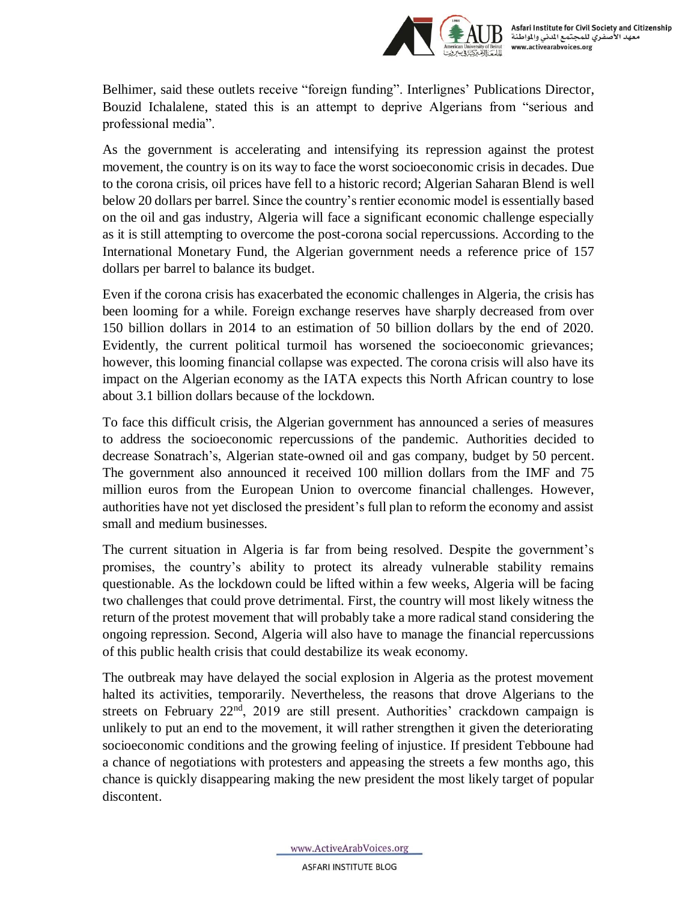

Belhimer, said these outlets [receive "foreign funding".](https://aawsat.com/english/home/article/2251716/minister%E2%80%99s-comments-journalist%E2%80%99s-arrest-stir-outrage-algeria?amp) Interlignes' Publications Director, Bouzid Ichalalene, [stated](https://www.lemonde.fr/afrique/article/2020/04/20/en-algerie-les-autorites-censurent-un-troisieme-media-en-ligne_6037165_3212.html) this is an attempt to deprive Algerians from "serious and professional media".

As the government is accelerating and intensifying its repression against the protest movement, the country is on its way to face the worst socioeconomic crisis in decades. Due to the corona crisis, oil prices [have fell](https://edition.cnn.com/2020/04/17/business/oil-prices-crash-opec-trump/index.html) to a historic record; Algerian Saharan Blend is well [below 20](https://oilprice.com/oil-price-charts) dollars per barrel. Since the country's rentier economic model is essentially based on the oil and gas industry, Algeria will face a significant economic challenge especially as it is still attempting to overcome the post-corona social repercussions. According to the International Monetary Fund, the Algerian government needs a reference price of [157](https://www.bloomberg.com/news/articles/2020-04-20/economic-reckoning-is-coming-for-arab-world-s-last-debt-recluse) [dollars](https://www.bloomberg.com/news/articles/2020-04-20/economic-reckoning-is-coming-for-arab-world-s-last-debt-recluse) per barrel to balance its budget.

Even if the corona crisis has exacerbated the economic challenges in Algeria, the crisis has been looming for a while. Foreign exchange reserves [have sharply decreased](https://www.ceicdata.com/en/indicator/algeria/foreign-exchange-reserves) from over 150 billion dollars in 2014 to an estimation of 50 billion dollars by the end of 2020. Evidently, the current political turmoil has worsened the socioeconomic grievances; however, this looming financial collapse was expected. The corona crisis will also have its impact on the Algerian economy as the IATA expects this North African country [to lose](https://maghrebemergent.info/covid-19-la-suspension-du-trafic-aerien-coute-a-lalgerie-31-milliards-de-dollars-selon-liata/)  [about 3.1 billion](https://maghrebemergent.info/covid-19-la-suspension-du-trafic-aerien-coute-a-lalgerie-31-milliards-de-dollars-selon-liata/) dollars because of the lockdown.

To face this difficult crisis, the Algerian government has announced a series of measures to address the socioeconomic repercussions of the pandemic. Authorities decided to decrease Sonatrach's, Algerian state-owned oil and gas company, budget [by 50 percent.](https://aawsat.com/english/home/article/2193681/algerias-president-orders-cuts-spending-energy-investment) The government also announced it received [100 million dollars](https://www.shorouknews.com/news/view.aspx?cdate=23032020&id=4305acea-822a-4255-9b09-b8b05c1f3b79) from the IMF and [75](https://www.tsa-algerie.com/ar/%D8%A7%D9%84%D8%AC%D8%B2%D8%A7%D8%A6%D8%B1-%D8%AA%D8%AA%D9%84%D9%82%D9%89-%D8%AF%D8%B9%D9%85%D8%A7-%D9%85%D8%A7%D9%84%D9%8A%D8%A7-%D8%A8%D9%82%D9%8A%D9%85%D8%A9-75%D9%85%D9%84%D9%8A%D9%88%D9%86-%D9%8A/)  [million euros](https://www.tsa-algerie.com/ar/%D8%A7%D9%84%D8%AC%D8%B2%D8%A7%D8%A6%D8%B1-%D8%AA%D8%AA%D9%84%D9%82%D9%89-%D8%AF%D8%B9%D9%85%D8%A7-%D9%85%D8%A7%D9%84%D9%8A%D8%A7-%D8%A8%D9%82%D9%8A%D9%85%D8%A9-75%D9%85%D9%84%D9%8A%D9%88%D9%86-%D9%8A/) from the European Union to overcome financial challenges. However, authorities [have not yet disclosed](https://al-ain.com/article/economy-of-algeria-corona-oil-prices) the president's full plan to reform the economy and assist small and medium businesses.

The current situation in Algeria is far from being resolved. Despite the government's promises, the country's ability to protect its already vulnerable stability remains questionable. As the lockdown could be lifted within a few weeks, Algeria will be facing two challenges that could prove detrimental. First, the country will most likely witness the return of the protest movement that will probably take a more radical stand considering the ongoing repression. Second, Algeria will also have to manage the financial repercussions of this public health crisis that could destabilize its weak economy.

The outbreak may have delayed the social explosion in Algeria as the protest movement halted its activities, temporarily. Nevertheless, the reasons that drove Algerians to the streets on February 22<sup>nd</sup>, 2019 are still present. Authorities' crackdown campaign is unlikely to put an end to the movement, it will rather strengthen it given the deteriorating socioeconomic conditions and the growing feeling of injustice. If president Tebboune had a chance of negotiations with protesters and appeasing the streets a few months ago, this chance is quickly disappearing making the new president the most likely target of popular discontent.

www.ActiveArabVoices.org

**ASFARI INSTITUTE BLOG**